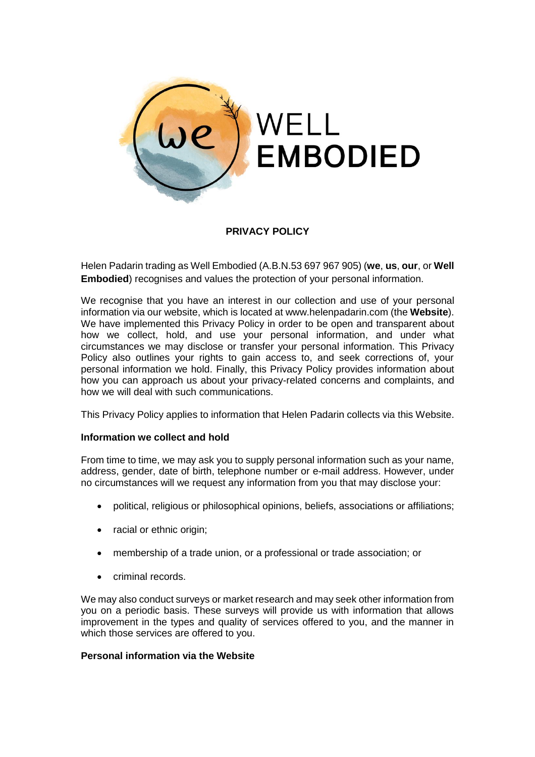

# **PRIVACY POLICY**

Helen Padarin trading as Well Embodied (A.B.N.53 697 967 905) (**we**, **us**, **our**, or **Well Embodied**) recognises and values the protection of your personal information.

We recognise that you have an interest in our collection and use of your personal information via our website, which is located at www.helenpadarin.com (the **Website**). We have implemented this Privacy Policy in order to be open and transparent about how we collect, hold, and use your personal information, and under what circumstances we may disclose or transfer your personal information. This Privacy Policy also outlines your rights to gain access to, and seek corrections of, your personal information we hold. Finally, this Privacy Policy provides information about how you can approach us about your privacy-related concerns and complaints, and how we will deal with such communications.

This Privacy Policy applies to information that Helen Padarin collects via this Website.

## **Information we collect and hold**

From time to time, we may ask you to supply personal information such as your name, address, gender, date of birth, telephone number or e-mail address. However, under no circumstances will we request any information from you that may disclose your:

- political, religious or philosophical opinions, beliefs, associations or affiliations;
- racial or ethnic origin;
- membership of a trade union, or a professional or trade association; or
- criminal records.

We may also conduct surveys or market research and may seek other information from you on a periodic basis. These surveys will provide us with information that allows improvement in the types and quality of services offered to you, and the manner in which those services are offered to you.

## **Personal information via the Website**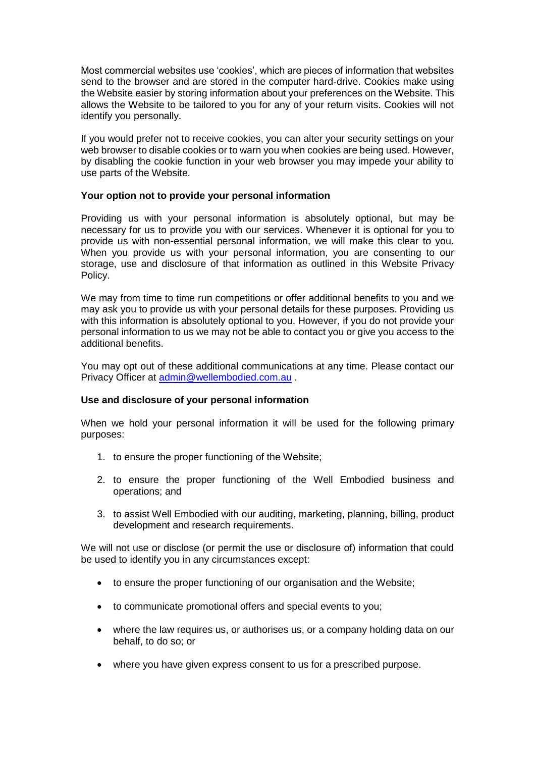Most commercial websites use 'cookies', which are pieces of information that websites send to the browser and are stored in the computer hard-drive. Cookies make using the Website easier by storing information about your preferences on the Website. This allows the Website to be tailored to you for any of your return visits. Cookies will not identify you personally.

If you would prefer not to receive cookies, you can alter your security settings on your web browser to disable cookies or to warn you when cookies are being used. However, by disabling the cookie function in your web browser you may impede your ability to use parts of the Website.

## **Your option not to provide your personal information**

Providing us with your personal information is absolutely optional, but may be necessary for us to provide you with our services. Whenever it is optional for you to provide us with non-essential personal information, we will make this clear to you. When you provide us with your personal information, you are consenting to our storage, use and disclosure of that information as outlined in this Website Privacy Policy.

We may from time to time run competitions or offer additional benefits to you and we may ask you to provide us with your personal details for these purposes. Providing us with this information is absolutely optional to you. However, if you do not provide your personal information to us we may not be able to contact you or give you access to the additional benefits.

You may opt out of these additional communications at any time. Please contact our Privacy Officer at [admin@wellembodied.com.au](mailto:admin@wellembodie.com.au) .

## **Use and disclosure of your personal information**

When we hold your personal information it will be used for the following primary purposes:

- 1. to ensure the proper functioning of the Website;
- 2. to ensure the proper functioning of the Well Embodied business and operations; and
- 3. to assist Well Embodied with our auditing, marketing, planning, billing, product development and research requirements.

We will not use or disclose (or permit the use or disclosure of) information that could be used to identify you in any circumstances except:

- to ensure the proper functioning of our organisation and the Website;
- to communicate promotional offers and special events to you;
- where the law requires us, or authorises us, or a company holding data on our behalf, to do so; or
- where you have given express consent to us for a prescribed purpose.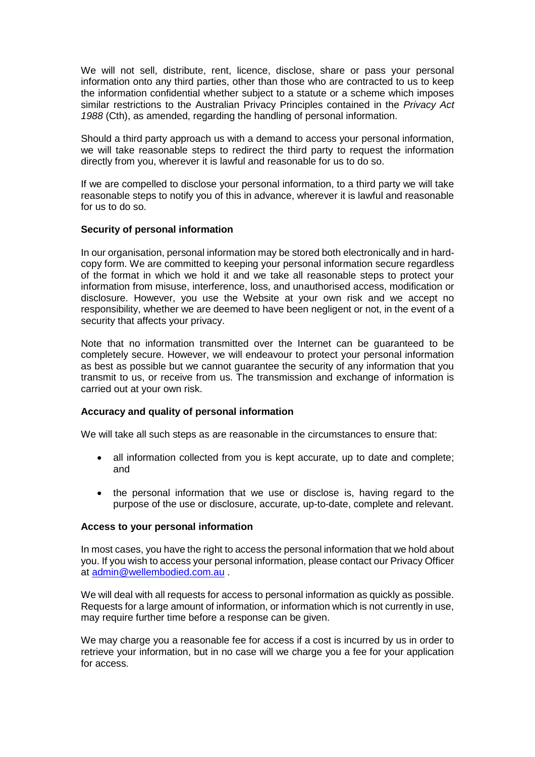We will not sell, distribute, rent, licence, disclose, share or pass your personal information onto any third parties, other than those who are contracted to us to keep the information confidential whether subject to a statute or a scheme which imposes similar restrictions to the Australian Privacy Principles contained in the *Privacy Act 1988* (Cth), as amended, regarding the handling of personal information.

Should a third party approach us with a demand to access your personal information, we will take reasonable steps to redirect the third party to request the information directly from you, wherever it is lawful and reasonable for us to do so.

If we are compelled to disclose your personal information, to a third party we will take reasonable steps to notify you of this in advance, wherever it is lawful and reasonable for us to do so.

## **Security of personal information**

In our organisation, personal information may be stored both electronically and in hardcopy form. We are committed to keeping your personal information secure regardless of the format in which we hold it and we take all reasonable steps to protect your information from misuse, interference, loss, and unauthorised access, modification or disclosure. However, you use the Website at your own risk and we accept no responsibility, whether we are deemed to have been negligent or not, in the event of a security that affects your privacy.

Note that no information transmitted over the Internet can be guaranteed to be completely secure. However, we will endeavour to protect your personal information as best as possible but we cannot guarantee the security of any information that you transmit to us, or receive from us. The transmission and exchange of information is carried out at your own risk.

#### **Accuracy and quality of personal information**

We will take all such steps as are reasonable in the circumstances to ensure that:

- all information collected from you is kept accurate, up to date and complete; and
- the personal information that we use or disclose is, having regard to the purpose of the use or disclosure, accurate, up-to-date, complete and relevant.

#### **Access to your personal information**

In most cases, you have the right to access the personal information that we hold about you. If you wish to access your personal information, please contact our Privacy Officer at [admin@wellembodied.com.au](mailto:admin@wellembodied.com.au) .

We will deal with all requests for access to personal information as quickly as possible. Requests for a large amount of information, or information which is not currently in use, may require further time before a response can be given.

We may charge you a reasonable fee for access if a cost is incurred by us in order to retrieve your information, but in no case will we charge you a fee for your application for access.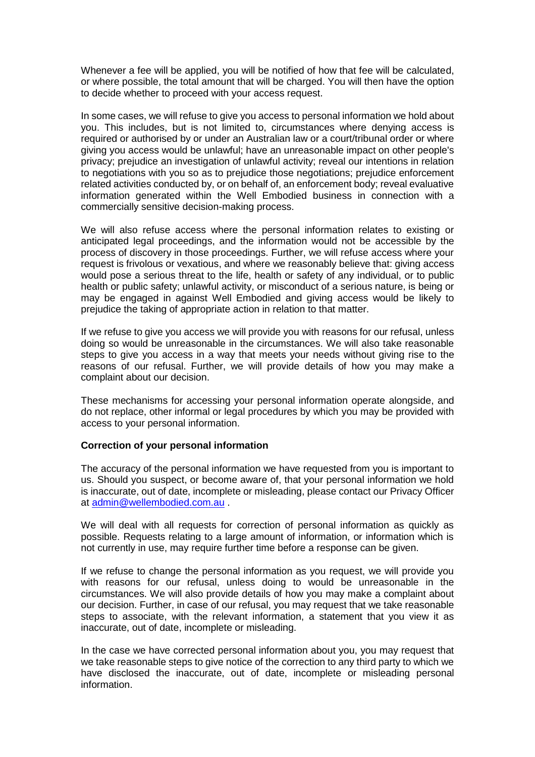Whenever a fee will be applied, you will be notified of how that fee will be calculated, or where possible, the total amount that will be charged. You will then have the option to decide whether to proceed with your access request.

In some cases, we will refuse to give you access to personal information we hold about you. This includes, but is not limited to, circumstances where denying access is required or authorised by or under an Australian law or a court/tribunal order or where giving you access would be unlawful; have an unreasonable impact on other people's privacy; prejudice an investigation of unlawful activity; reveal our intentions in relation to negotiations with you so as to prejudice those negotiations; prejudice enforcement related activities conducted by, or on behalf of, an enforcement body; reveal evaluative information generated within the Well Embodied business in connection with a commercially sensitive decision-making process.

We will also refuse access where the personal information relates to existing or anticipated legal proceedings, and the information would not be accessible by the process of discovery in those proceedings. Further, we will refuse access where your request is frivolous or vexatious, and where we reasonably believe that: giving access would pose a serious threat to the life, health or safety of any individual, or to public health or public safety; unlawful activity, or misconduct of a serious nature, is being or may be engaged in against Well Embodied and giving access would be likely to prejudice the taking of appropriate action in relation to that matter.

If we refuse to give you access we will provide you with reasons for our refusal, unless doing so would be unreasonable in the circumstances. We will also take reasonable steps to give you access in a way that meets your needs without giving rise to the reasons of our refusal. Further, we will provide details of how you may make a complaint about our decision.

These mechanisms for accessing your personal information operate alongside, and do not replace, other informal or legal procedures by which you may be provided with access to your personal information.

#### **Correction of your personal information**

The accuracy of the personal information we have requested from you is important to us. Should you suspect, or become aware of, that your personal information we hold is inaccurate, out of date, incomplete or misleading, please contact our Privacy Officer at [admin@wellembodied.com.au](mailto:admin@wellembodied.com.au) .

We will deal with all requests for correction of personal information as quickly as possible. Requests relating to a large amount of information, or information which is not currently in use, may require further time before a response can be given.

If we refuse to change the personal information as you request, we will provide you with reasons for our refusal, unless doing to would be unreasonable in the circumstances. We will also provide details of how you may make a complaint about our decision. Further, in case of our refusal, you may request that we take reasonable steps to associate, with the relevant information, a statement that you view it as inaccurate, out of date, incomplete or misleading.

In the case we have corrected personal information about you, you may request that we take reasonable steps to give notice of the correction to any third party to which we have disclosed the inaccurate, out of date, incomplete or misleading personal information.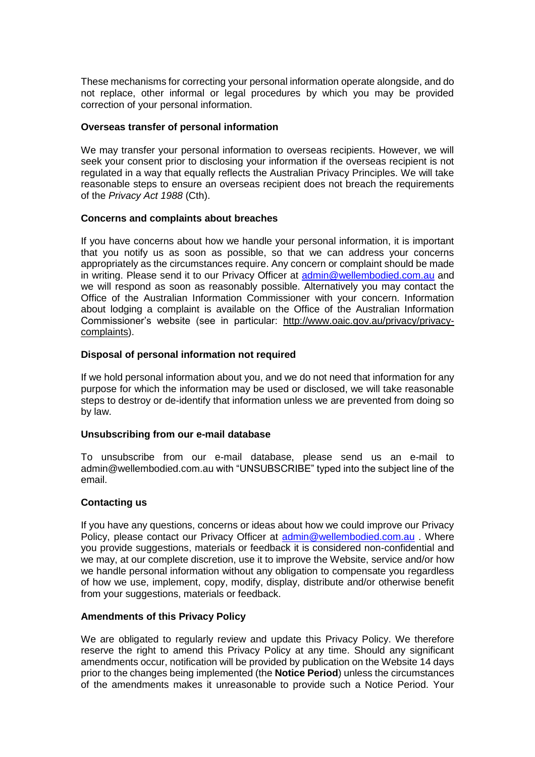These mechanisms for correcting your personal information operate alongside, and do not replace, other informal or legal procedures by which you may be provided correction of your personal information.

### **Overseas transfer of personal information**

We may transfer your personal information to overseas recipients. However, we will seek your consent prior to disclosing your information if the overseas recipient is not regulated in a way that equally reflects the Australian Privacy Principles. We will take reasonable steps to ensure an overseas recipient does not breach the requirements of the *Privacy Act 1988* (Cth).

## **Concerns and complaints about breaches**

If you have concerns about how we handle your personal information, it is important that you notify us as soon as possible, so that we can address your concerns appropriately as the circumstances require. Any concern or complaint should be made in writing. Please send it to our Privacy Officer at [admin@wellembodied.com.au](mailto:admin@wellembodied.com.au) and we will respond as soon as reasonably possible. Alternatively you may contact the Office of the Australian Information Commissioner with your concern. Information about lodging a complaint is available on the Office of the Australian Information Commissioner's website (see in particular: [http://www.oaic.gov.au/privacy/privacy](http://www.oaic.gov.au/privacy/privacy-complaints)[complaints\)](http://www.oaic.gov.au/privacy/privacy-complaints).

## **Disposal of personal information not required**

If we hold personal information about you, and we do not need that information for any purpose for which the information may be used or disclosed, we will take reasonable steps to destroy or de-identify that information unless we are prevented from doing so by law.

## **Unsubscribing from our e-mail database**

To unsubscribe from our e-mail database, please send us an e-mail to admin@wellembodied.com.au with "UNSUBSCRIBE" typed into the subject line of the email.

## **Contacting us**

If you have any questions, concerns or ideas about how we could improve our Privacy Policy, please contact our Privacy Officer at [admin@wellembodied.com.au](mailto:admin@wellembodied.com.au) . Where you provide suggestions, materials or feedback it is considered non-confidential and we may, at our complete discretion, use it to improve the Website, service and/or how we handle personal information without any obligation to compensate you regardless of how we use, implement, copy, modify, display, distribute and/or otherwise benefit from your suggestions, materials or feedback.

#### **Amendments of this Privacy Policy**

We are obligated to regularly review and update this Privacy Policy. We therefore reserve the right to amend this Privacy Policy at any time. Should any significant amendments occur, notification will be provided by publication on the Website 14 days prior to the changes being implemented (the **Notice Period**) unless the circumstances of the amendments makes it unreasonable to provide such a Notice Period. Your